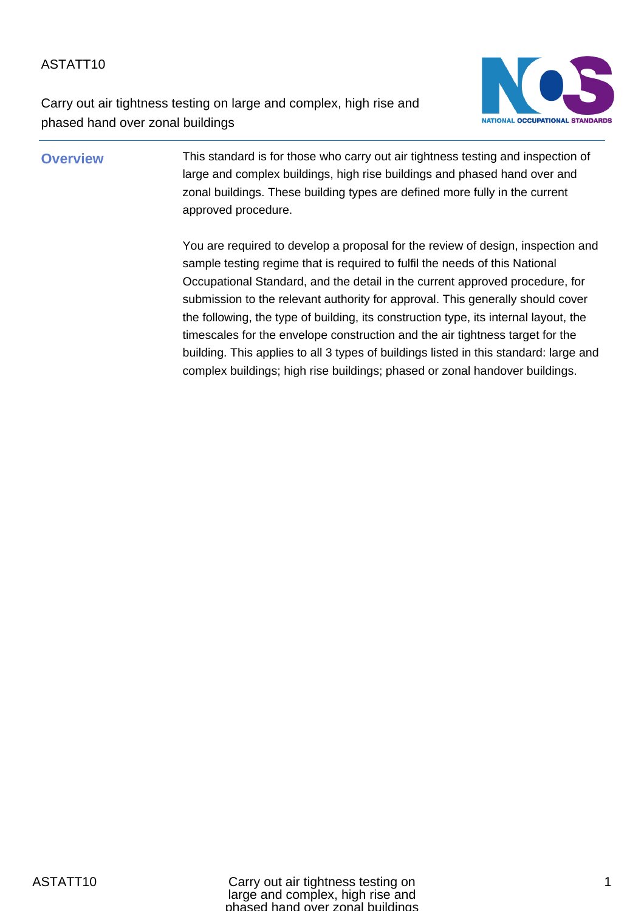Carry out air tightness testing on large and complex, high rise and phased hand over zonal buildings



**Overview** This standard is for those who carry out air tightness testing and inspection of large and complex buildings, high rise buildings and phased hand over and zonal buildings. These building types are defined more fully in the current approved procedure.

> You are required to develop a proposal for the review of design, inspection and sample testing regime that is required to fulfil the needs of this National Occupational Standard, and the detail in the current approved procedure, for submission to the relevant authority for approval. This generally should cover the following, the type of building, its construction type, its internal layout, the timescales for the envelope construction and the air tightness target for the building. This applies to all 3 types of buildings listed in this standard: large and complex buildings; high rise buildings; phased or zonal handover buildings.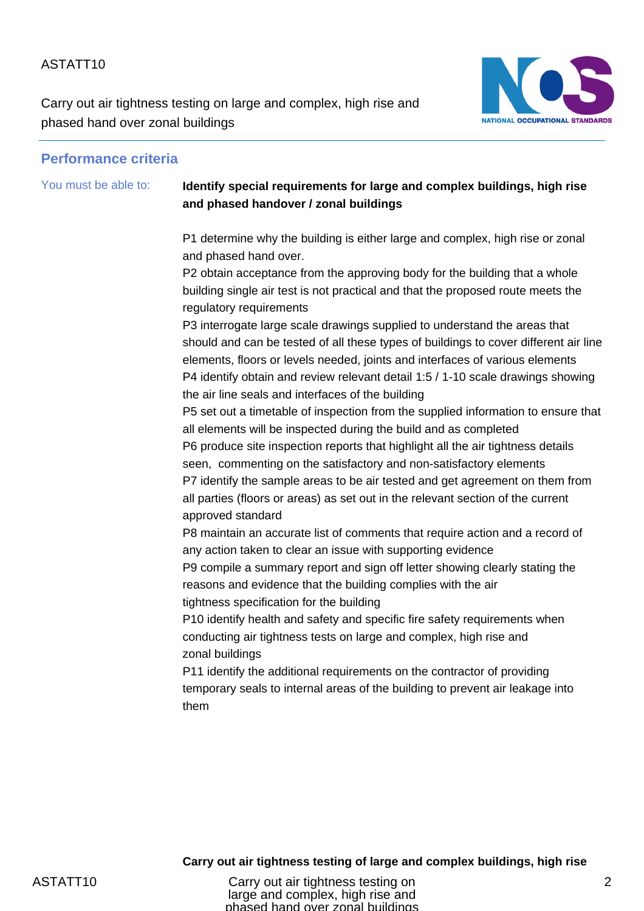Carry out air tightness testing on large and complex, high rise and phased hand over zonal buildings



#### **Performance criteria**

## You must be able to: **Identify special requirements for large and complex buildings, high rise and phased handover / zonal buildings**

P1 determine why the building is either large and complex, high rise or zonal and phased hand over.

P2 obtain acceptance from the approving body for the building that a whole building single air test is not practical and that the proposed route meets the regulatory requirements

P3 interrogate large scale drawings supplied to understand the areas that should and can be tested of all these types of buildings to cover different air line elements, floors or levels needed, joints and interfaces of various elements P4 identify obtain and review relevant detail 1:5 / 1-10 scale drawings showing the air line seals and interfaces of the building

P5 set out a timetable of inspection from the supplied information to ensure that all elements will be inspected during the build and as completed P6 produce site inspection reports that highlight all the air tightness details seen, commenting on the satisfactory and non-satisfactory elements

P7 identify the sample areas to be air tested and get agreement on them from all parties (floors or areas) as set out in the relevant section of the current approved standard

P8 maintain an accurate list of comments that require action and a record of any action taken to clear an issue with supporting evidence

P9 compile a summary report and sign off letter showing clearly stating the reasons and evidence that the building complies with the air tightness specification for the building

P10 identify health and safety and specific fire safety requirements when conducting air tightness tests on large and complex, high rise and zonal buildings

P11 identify the additional requirements on the contractor of providing temporary seals to internal areas of the building to prevent air leakage into them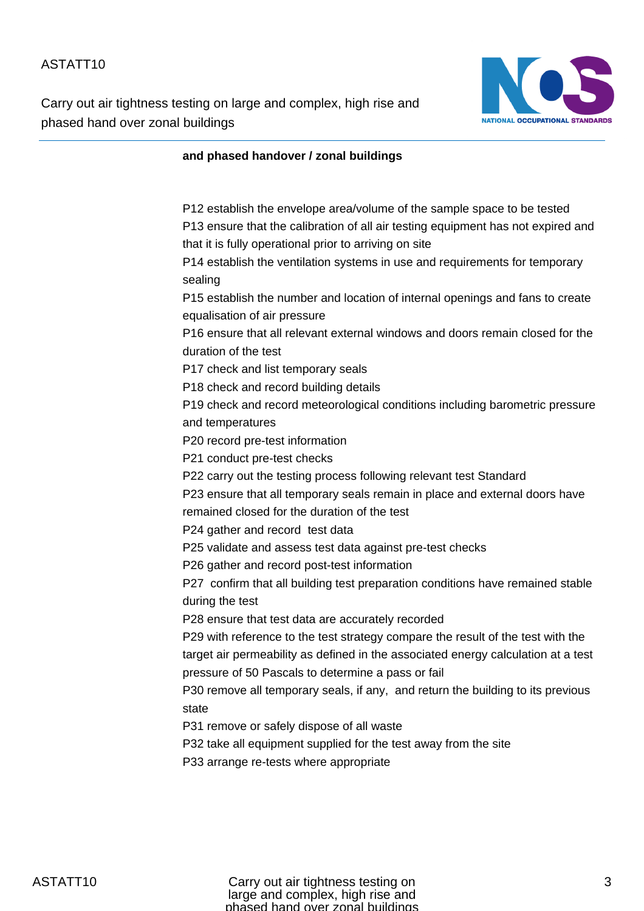Carry out air tightness testing on large and complex, high rise and phased hand over zonal buildings



#### **and phased handover / zonal buildings**

P12 establish the envelope area/volume of the sample space to be tested P13 ensure that the calibration of all air testing equipment has not expired and that it is fully operational prior to arriving on site P14 establish the ventilation systems in use and requirements for temporary sealing P15 establish the number and location of internal openings and fans to create equalisation of air pressure P16 ensure that all relevant external windows and doors remain closed for the duration of the test P17 check and list temporary seals P18 check and record building details P19 check and record meteorological conditions including barometric pressure and temperatures P20 record pre-test information P21 conduct pre-test checks P22 carry out the testing process following relevant test Standard P23 ensure that all temporary seals remain in place and external doors have remained closed for the duration of the test P24 gather and record test data P25 validate and assess test data against pre-test checks P26 gather and record post-test information P27 confirm that all building test preparation conditions have remained stable during the test P28 ensure that test data are accurately recorded P29 with reference to the test strategy compare the result of the test with the target air permeability as defined in the associated energy calculation at a test pressure of 50 Pascals to determine a pass or fail P30 remove all temporary seals, if any, and return the building to its previous state P31 remove or safely dispose of all waste P32 take all equipment supplied for the test away from the site P33 arrange re-tests where appropriate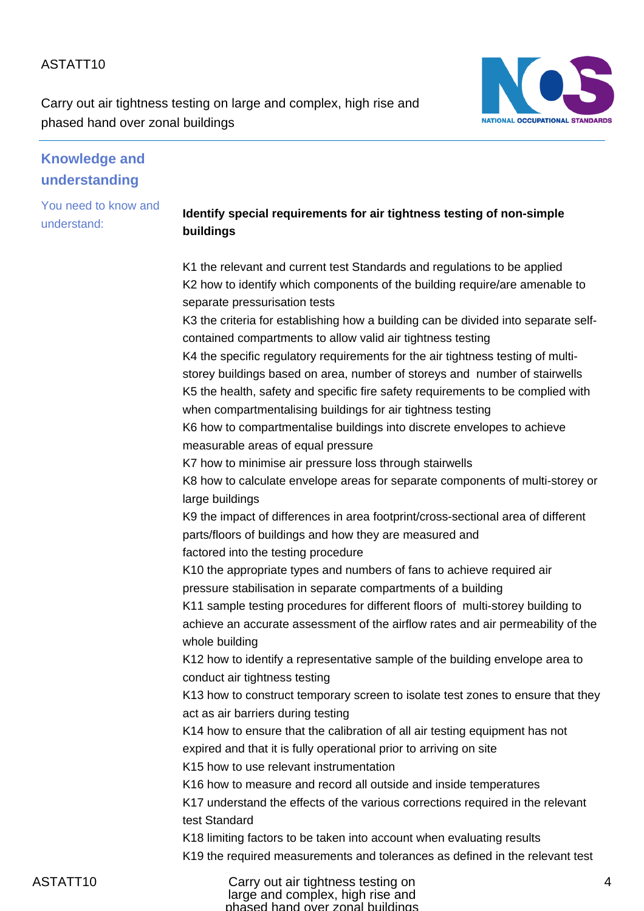Carry out air tightness testing on large and complex, high rise and phased hand over zonal buildings



# **Knowledge and understanding**

You need to know and understand:

### **Identify special requirements for air tightness testing of non-simple buildings**

K1 the relevant and current test Standards and regulations to be applied K2 how to identify which components of the building require/are amenable to separate pressurisation tests

K3 the criteria for establishing how a building can be divided into separate selfcontained compartments to allow valid air tightness testing

K4 the specific regulatory requirements for the air tightness testing of multistorey buildings based on area, number of storeys and number of stairwells K5 the health, safety and specific fire safety requirements to be complied with when compartmentalising buildings for air tightness testing

K6 how to compartmentalise buildings into discrete envelopes to achieve measurable areas of equal pressure

K7 how to minimise air pressure loss through stairwells

K8 how to calculate envelope areas for separate components of multi-storey or large buildings

K9 the impact of differences in area footprint/cross-sectional area of different parts/floors of buildings and how they are measured and factored into the testing procedure

K10 the appropriate types and numbers of fans to achieve required air pressure stabilisation in separate compartments of a building

K11 sample testing procedures for different floors of multi-storey building to achieve an accurate assessment of the airflow rates and air permeability of the whole building

K12 how to identify a representative sample of the building envelope area to conduct air tightness testing

K13 how to construct temporary screen to isolate test zones to ensure that they act as air barriers during testing

K14 how to ensure that the calibration of all air testing equipment has not expired and that it is fully operational prior to arriving on site

K15 how to use relevant instrumentation

K16 how to measure and record all outside and inside temperatures

K17 understand the effects of the various corrections required in the relevant test Standard

K18 limiting factors to be taken into account when evaluating results

K19 the required measurements and tolerances as defined in the relevant test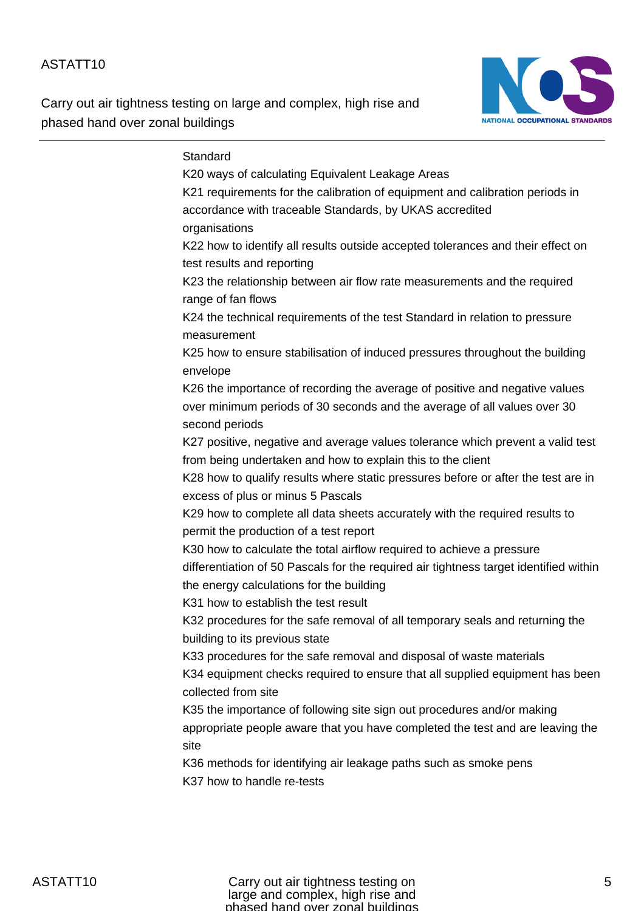Carry out air tightness testing on large and complex, high rise and phased hand over zonal buildings



#### **Standard**

K20 ways of calculating Equivalent Leakage Areas K21 requirements for the calibration of equipment and calibration periods in accordance with traceable Standards, by UKAS accredited organisations K22 how to identify all results outside accepted tolerances and their effect on test results and reporting K23 the relationship between air flow rate measurements and the required range of fan flows K24 the technical requirements of the test Standard in relation to pressure measurement K25 how to ensure stabilisation of induced pressures throughout the building envelope K26 the importance of recording the average of positive and negative values over minimum periods of 30 seconds and the average of all values over 30 second periods K27 positive, negative and average values tolerance which prevent a valid test from being undertaken and how to explain this to the client K28 how to qualify results where static pressures before or after the test are in excess of plus or minus 5 Pascals K29 how to complete all data sheets accurately with the required results to permit the production of a test report K30 how to calculate the total airflow required to achieve a pressure differentiation of 50 Pascals for the required air tightness target identified within the energy calculations for the building K31 how to establish the test result K32 procedures for the safe removal of all temporary seals and returning the building to its previous state K33 procedures for the safe removal and disposal of waste materials K34 equipment checks required to ensure that all supplied equipment has been collected from site K35 the importance of following site sign out procedures and/or making appropriate people aware that you have completed the test and are leaving the site K36 methods for identifying air leakage paths such as smoke pens K37 how to handle re-tests